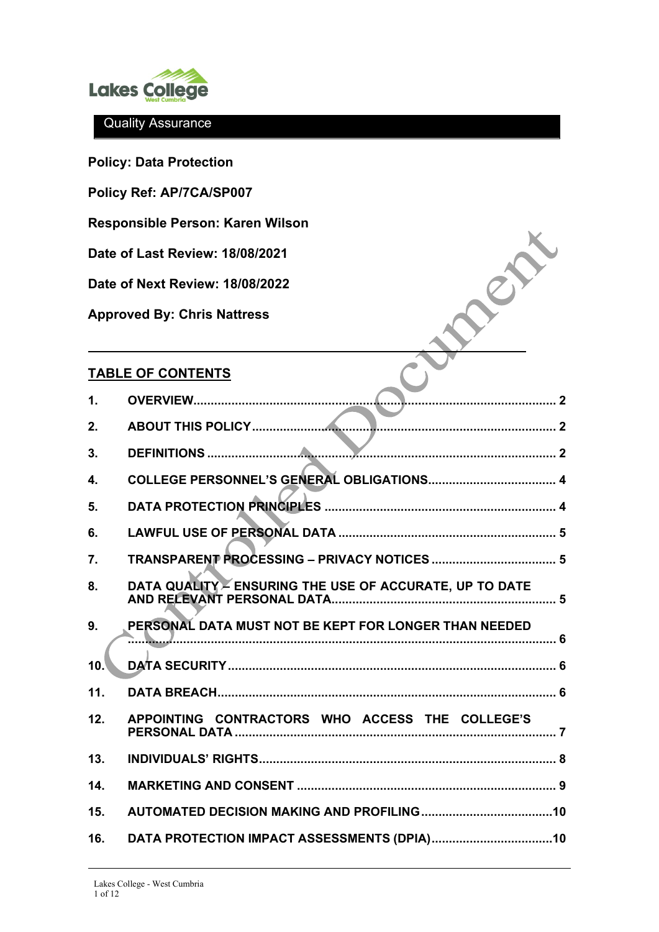

**Policy: Data Protection** 

**Policy Ref: AP/7CA/SP007** 

**Responsible Person: Karen Wilson**

**Date of Last Review: 18/08/2021** 

**Date of Next Review: 18/08/2022** 

**Approved By: Chris Nattress**

# **TABLE OF CONTENTS**

| $\mathbf 1$ . |                                                         |
|---------------|---------------------------------------------------------|
| 2.            |                                                         |
| 3.            |                                                         |
| 4.            |                                                         |
| 5.            |                                                         |
| 6.            |                                                         |
| 7.            |                                                         |
| 8.            | DATA QUALITY - ENSURING THE USE OF ACCURATE, UP TO DATE |
| 9.            | PERSONAL DATA MUST NOT BE KEPT FOR LONGER THAN NEEDED   |
| 10.           |                                                         |
| 11.           |                                                         |
| 12.           | APPOINTING CONTRACTORS WHO ACCESS THE COLLEGE'S         |
| 13.           |                                                         |
| 14.           |                                                         |
| 15.           |                                                         |
| 16.           |                                                         |

**NOON**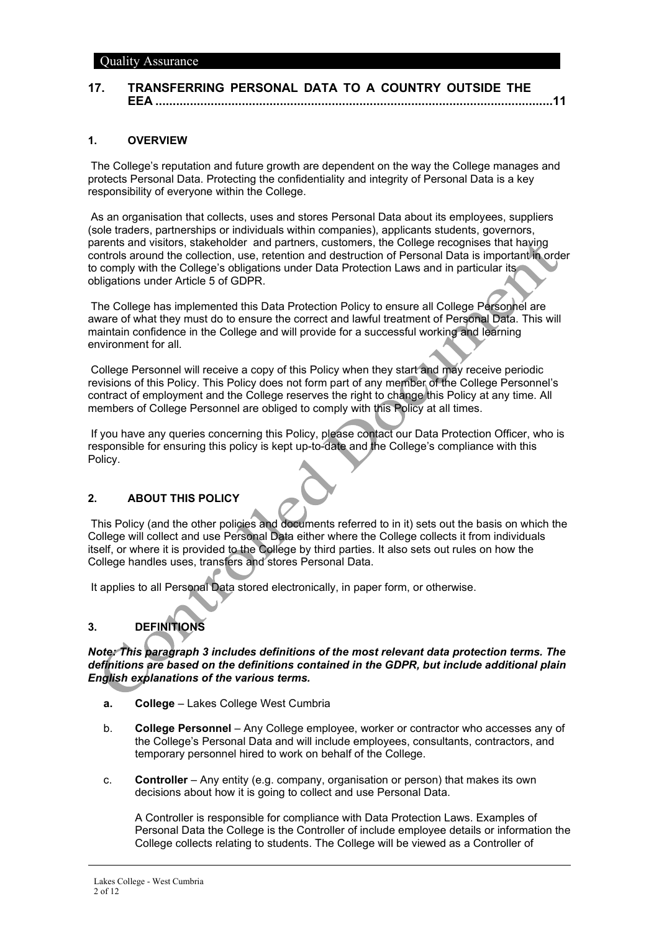### **17. [TRANSFERRING PERSONAL DATA TO A COUNTRY OUTSIDE THE](#page-10-0)  EEA [...................................................................................................................11](#page-10-0)**

#### <span id="page-1-0"></span>**1. OVERVIEW**

The College's reputation and future growth are dependent on the way the College manages and protects Personal Data. Protecting the confidentiality and integrity of Personal Data is a key responsibility of everyone within the College.

As an organisation that collects, uses and stores Personal Data about its employees, suppliers (sole traders, partnerships or individuals within companies), applicants students, governors, parents and visitors, stakeholder and partners, customers, the College recognises that having controls around the collection, use, retention and destruction of Personal Data is important in order to comply with the College's obligations under Data Protection Laws and in particular its obligations under Article 5 of GDPR.

The College has implemented this Data Protection Policy to ensure all College Personnel are aware of what they must do to ensure the correct and lawful treatment of Personal Data. This will maintain confidence in the College and will provide for a successful working and learning environment for all.

College Personnel will receive a copy of this Policy when they start and may receive periodic revisions of this Policy. This Policy does not form part of any member of the College Personnel's contract of employment and the College reserves the right to change this Policy at any time. All members of College Personnel are obliged to comply with this Policy at all times.

If you have any queries concerning this Policy, please contact our Data Protection Officer, who is responsible for ensuring this policy is kept up-to-date and the College's compliance with this Policy.

### <span id="page-1-1"></span>**2. ABOUT THIS POLICY**

This Policy (and the other policies and documents referred to in it) sets out the basis on which the College will collect and use Personal Data either where the College collects it from individuals itself, or where it is provided to the College by third parties. It also sets out rules on how the College handles uses, transfers and stores Personal Data.

<span id="page-1-2"></span>It applies to all Personal Data stored electronically, in paper form, or otherwise.

## **3. DEFINITIONS**

*Note: This paragraph 3 includes definitions of the most relevant data protection terms. The definitions are based on the definitions contained in the GDPR, but include additional plain English explanations of the various terms.*

- **a. College** Lakes College West Cumbria
- b. **College Personnel** Any College employee, worker or contractor who accesses any of the College's Personal Data and will include employees, consultants, contractors, and temporary personnel hired to work on behalf of the College.
- c. **Controller** Any entity (e.g. company, organisation or person) that makes its own decisions about how it is going to collect and use Personal Data.

A Controller is responsible for compliance with Data Protection Laws. Examples of Personal Data the College is the Controller of include employee details or information the College collects relating to students. The College will be viewed as a Controller of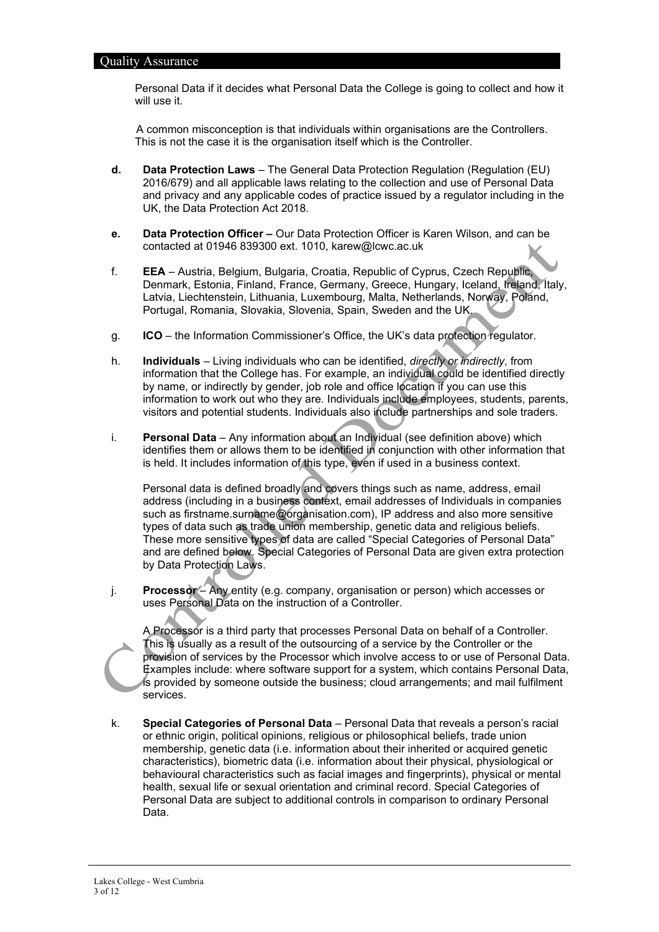Personal Data if it decides what Personal Data the College is going to collect and how it will use it.

A common misconception is that individuals within organisations are the Controllers. This is not the case it is the organisation itself which is the Controller.

- **d. Data Protection Laws**  The General Data Protection Regulation (Regulation (EU) 2016/679) and all applicable laws relating to the collection and use of Personal Data and privacy and any applicable codes of practice issued by a regulator including in the UK, the Data Protection Act 2018.
- **e. Data Protection Officer –** Our Data Protection Officer is Karen Wilson, and can be contacted at 01946 839300 ext. 1010, karew@lcwc.ac.uk
- f. **EEA** Austria, Belgium, Bulgaria, Croatia, Republic of Cyprus, Czech Republic, Denmark, Estonia, Finland, France, Germany, Greece, Hungary, Iceland, Ireland, Italy, Latvia, Liechtenstein, Lithuania, Luxembourg, Malta, Netherlands, Norway, Poland, Portugal, Romania, Slovakia, Slovenia, Spain, Sweden and the UK.
- g. **ICO**  the Information Commissioner's Office, the UK's data protection regulator.
- h. **Individuals** Living individuals who can be identified, *directly or indirectly*, from information that the College has. For example, an individual could be identified directly by name, or indirectly by gender, job role and office location if you can use this information to work out who they are. Individuals include employees, students, parents, visitors and potential students. Individuals also include partnerships and sole traders.
- i. **Personal Data** Any information about an Individual (see definition above) which identifies them or allows them to be identified in conjunction with other information that is held. It includes information of this type, even if used in a business context.

Personal data is defined broadly and covers things such as name, address, email address (including in a business context, email addresses of Individuals in companies such as firstname.surname@organisation.com), IP address and also more sensitive types of data such as trade union membership, genetic data and religious beliefs. These more sensitive types of data are called "Special Categories of Personal Data" and are defined below. Special Categories of Personal Data are given extra protection by Data Protection Laws.

j. **Processor** – Any entity (e.g. company, organisation or person) which accesses or uses Personal Data on the instruction of a Controller.

A Processor is a third party that processes Personal Data on behalf of a Controller. This is usually as a result of the outsourcing of a service by the Controller or the provision of services by the Processor which involve access to or use of Personal Data. Examples include: where software support for a system, which contains Personal Data, is provided by someone outside the business; cloud arrangements; and mail fulfilment services.

k. **Special Categories of Personal Data** – Personal Data that reveals a person's racial or ethnic origin, political opinions, religious or philosophical beliefs, trade union membership, genetic data (i.e. information about their inherited or acquired genetic characteristics), biometric data (i.e. information about their physical, physiological or behavioural characteristics such as facial images and fingerprints), physical or mental health, sexual life or sexual orientation and criminal record. Special Categories of Personal Data are subject to additional controls in comparison to ordinary Personal Data.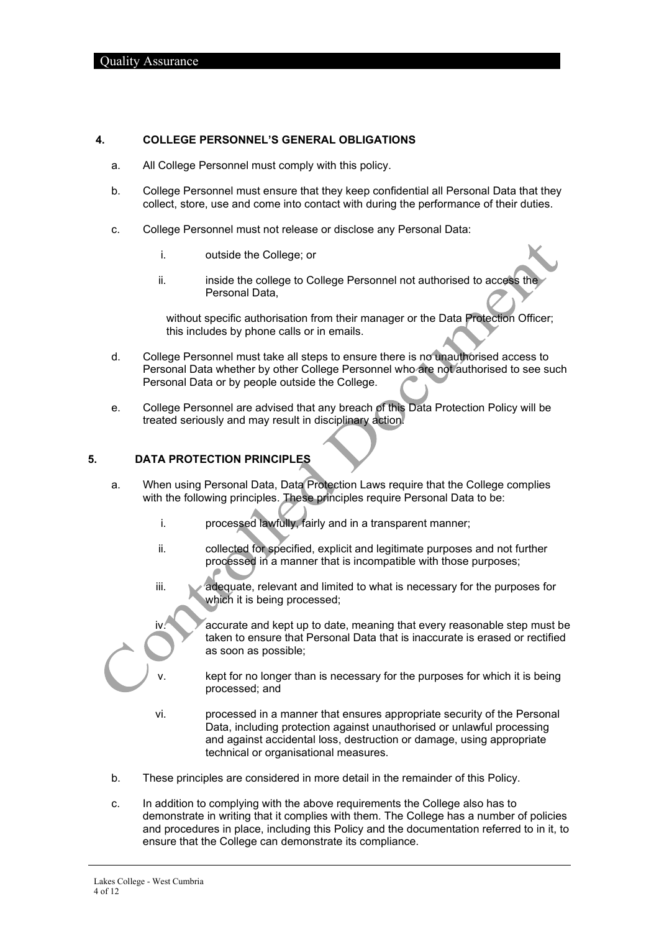#### <span id="page-3-0"></span>**4. COLLEGE PERSONNEL'S GENERAL OBLIGATIONS**

- a. All College Personnel must comply with this policy.
- b. College Personnel must ensure that they keep confidential all Personal Data that they collect, store, use and come into contact with during the performance of their duties.
- c. College Personnel must not release or disclose any Personal Data:
	- i. outside the College; or
	- ii. inside the college to College Personnel not authorised to access the Personal Data,

without specific authorisation from their manager or the Data Protection Officer; this includes by phone calls or in emails.

- d. College Personnel must take all steps to ensure there is no unauthorised access to Personal Data whether by other College Personnel who are not authorised to see such Personal Data or by people outside the College.
- e. College Personnel are advised that any breach of this Data Protection Policy will be treated seriously and may result in disciplinary action.

#### <span id="page-3-1"></span>**5. DATA PROTECTION PRINCIPLES**

- a. When using Personal Data, Data Protection Laws require that the College complies with the following principles. These principles require Personal Data to be:
	- i. processed lawfully, fairly and in a transparent manner;
	- ii. collected for specified, explicit and legitimate purposes and not further processed in a manner that is incompatible with those purposes;
	- iii. a adequate, relevant and limited to what is necessary for the purposes for which it is being processed;

iv. accurate and kept up to date, meaning that every reasonable step must be taken to ensure that Personal Data that is inaccurate is erased or rectified as soon as possible;

- kept for no longer than is necessary for the purposes for which it is being processed; and
- vi. processed in a manner that ensures appropriate security of the Personal Data, including protection against unauthorised or unlawful processing and against accidental loss, destruction or damage, using appropriate technical or organisational measures.
- b. These principles are considered in more detail in the remainder of this Policy.
- c. In addition to complying with the above requirements the College also has to demonstrate in writing that it complies with them. The College has a number of policies and procedures in place, including this Policy and the documentation referred to in it, to ensure that the College can demonstrate its compliance.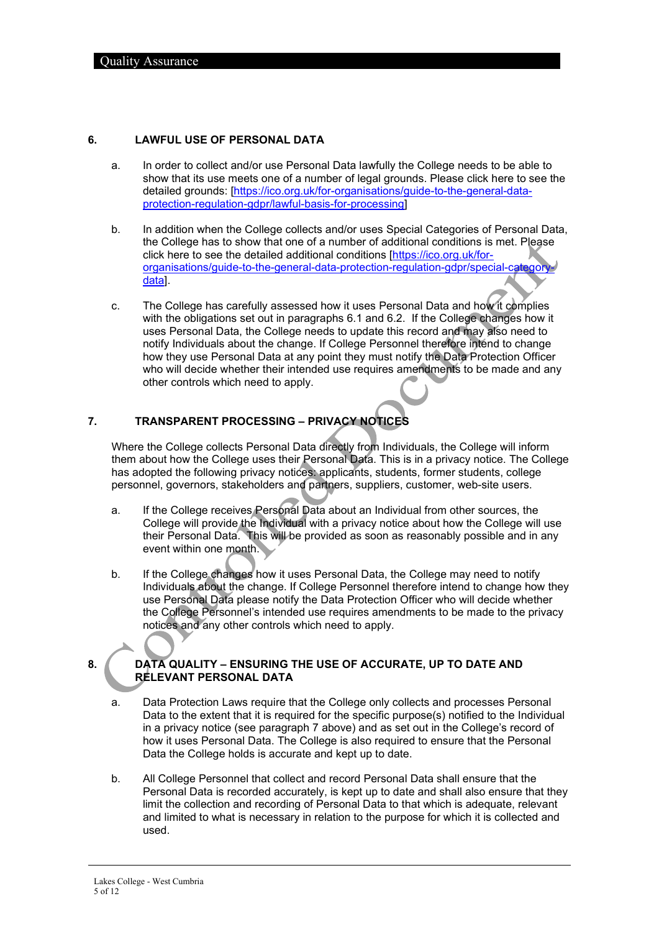#### <span id="page-4-3"></span><span id="page-4-0"></span>**6. LAWFUL USE OF PERSONAL DATA**

- a. In order to collect and/or use Personal Data lawfully the College needs to be able to show that its use meets one of a number of legal grounds. Please click here to see the detailed grounds: [\[https://ico.org.uk/for-organisations/guide-to-the-general-data](https://ico.org.uk/for-organisations/guide-to-the-general-data-protection-regulation-gdpr/lawful-basis-for-processing)[protection-regulation-gdpr/lawful-basis-for-processing\]](https://ico.org.uk/for-organisations/guide-to-the-general-data-protection-regulation-gdpr/lawful-basis-for-processing)
- <span id="page-4-4"></span>b. In addition when the College collects and/or uses Special Categories of Personal Data, the College has to show that one of a number of additional conditions is met. Please click here to see the detailed additional conditions [\[https://ico.org.uk/for](https://ico.org.uk/for-organisations/guide-to-the-general-data-protection-regulation-gdpr/special-category-data)[organisations/guide-to-the-general-data-protection-regulation-gdpr/special-category](https://ico.org.uk/for-organisations/guide-to-the-general-data-protection-regulation-gdpr/special-category-data)[data\]](https://ico.org.uk/for-organisations/guide-to-the-general-data-protection-regulation-gdpr/special-category-data).
- c. The College has carefully assessed how it uses Personal Data and how it complies with the obligations set out in paragraphs [6.1](#page-4-3) and [6.2.](#page-4-4) If the College changes how it uses Personal Data, the College needs to update this record and may also need to notify Individuals about the change. If College Personnel therefore intend to change how they use Personal Data at any point they must notify the Data Protection Officer who will decide whether their intended use requires amendments to be made and any other controls which need to apply.

## <span id="page-4-1"></span>**7. TRANSPARENT PROCESSING – PRIVACY NOTICES**

Where the College collects Personal Data directly from Individuals, the College will inform them about how the College uses their Personal Data. This is in a privacy notice. The College has adopted the following privacy notices: applicants, students, former students, college personnel, governors, stakeholders and partners, suppliers, customer, web-site users.

- a. If the College receives Personal Data about an Individual from other sources, the College will provide the Individual with a privacy notice about how the College will use their Personal Data. This will be provided as soon as reasonably possible and in any event within one month.
- b. If the College changes how it uses Personal Data, the College may need to notify Individuals about the change. If College Personnel therefore intend to change how they use Personal Data please notify the Data Protection Officer who will decide whether the College Personnel's intended use requires amendments to be made to the privacy notices and any other controls which need to apply.

### <span id="page-4-2"></span>**8. DATA QUALITY – ENSURING THE USE OF ACCURATE, UP TO DATE AND RELEVANT PERSONAL DATA**

- a. Data Protection Laws require that the College only collects and processes Personal Data to the extent that it is required for the specific purpose(s) notified to the Individual in a privacy notice (see paragraph [7](#page-4-1) above) and as set out in the College's record of how it uses Personal Data. The College is also required to ensure that the Personal Data the College holds is accurate and kept up to date.
- b. All College Personnel that collect and record Personal Data shall ensure that the Personal Data is recorded accurately, is kept up to date and shall also ensure that they limit the collection and recording of Personal Data to that which is adequate, relevant and limited to what is necessary in relation to the purpose for which it is collected and used.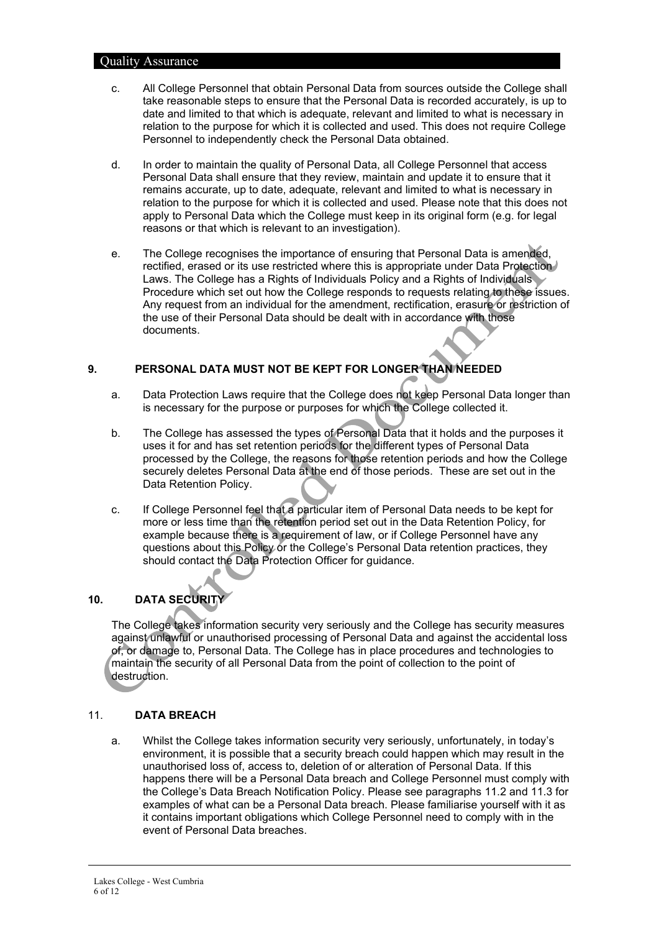- c. All College Personnel that obtain Personal Data from sources outside the College shall take reasonable steps to ensure that the Personal Data is recorded accurately, is up to date and limited to that which is adequate, relevant and limited to what is necessary in relation to the purpose for which it is collected and used. This does not require College Personnel to independently check the Personal Data obtained.
- d. In order to maintain the quality of Personal Data, all College Personnel that access Personal Data shall ensure that they review, maintain and update it to ensure that it remains accurate, up to date, adequate, relevant and limited to what is necessary in relation to the purpose for which it is collected and used. Please note that this does not apply to Personal Data which the College must keep in its original form (e.g. for legal reasons or that which is relevant to an investigation).
- e. The College recognises the importance of ensuring that Personal Data is amended, rectified, erased or its use restricted where this is appropriate under Data Protection Laws. The College has a Rights of Individuals Policy and a Rights of Individuals Procedure which set out how the College responds to requests relating to these issues. Any request from an individual for the amendment, rectification, erasure or restriction of the use of their Personal Data should be dealt with in accordance with those documents.

## <span id="page-5-0"></span>**9. PERSONAL DATA MUST NOT BE KEPT FOR LONGER THAN NEEDED**

- a. Data Protection Laws require that the College does not keep Personal Data longer than is necessary for the purpose or purposes for which the College collected it.
- b. The College has assessed the types of Personal Data that it holds and the purposes it uses it for and has set retention periods for the different types of Personal Data processed by the College, the reasons for those retention periods and how the College securely deletes Personal Data at the end of those periods. These are set out in the Data Retention Policy.
- c. If College Personnel feel that a particular item of Personal Data needs to be kept for more or less time than the retention period set out in the Data Retention Policy, for example because there is a requirement of law, or if College Personnel have any questions about this Policy or the College's Personal Data retention practices, they should contact the Data Protection Officer for guidance.

## <span id="page-5-1"></span>**10. DATA SECURITY**

The College takes information security very seriously and the College has security measures against unlawful or unauthorised processing of Personal Data and against the accidental loss of, or damage to, Personal Data. The College has in place procedures and technologies to maintain the security of all Personal Data from the point of collection to the point of destruction.

### <span id="page-5-2"></span>11. **DATA BREACH**

a. Whilst the College takes information security very seriously, unfortunately, in today's environment, it is possible that a security breach could happen which may result in the unauthorised loss of, access to, deletion of or alteration of Personal Data. If this happens there will be a Personal Data breach and College Personnel must comply with the College's Data Breach Notification Policy. Please see paragraphs [11.2](#page-6-1) and [11.3](#page-6-2) for examples of what can be a Personal Data breach. Please familiarise yourself with it as it contains important obligations which College Personnel need to comply with in the event of Personal Data breaches.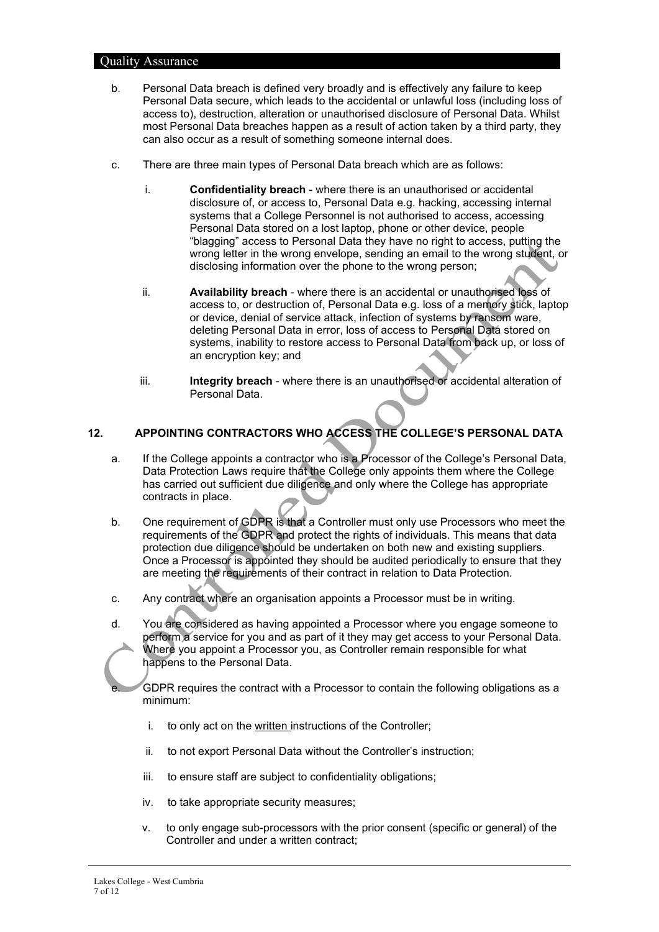- <span id="page-6-1"></span>b. Personal Data breach is defined very broadly and is effectively any failure to keep Personal Data secure, which leads to the accidental or unlawful loss (including loss of access to), destruction, alteration or unauthorised disclosure of Personal Data. Whilst most Personal Data breaches happen as a result of action taken by a third party, they can also occur as a result of something someone internal does.
- <span id="page-6-2"></span>c. There are three main types of Personal Data breach which are as follows:
	- i. **Confidentiality breach** where there is an unauthorised or accidental disclosure of, or access to, Personal Data e.g. hacking, accessing internal systems that a College Personnel is not authorised to access, accessing Personal Data stored on a lost laptop, phone or other device, people "blagging" access to Personal Data they have no right to access, putting the wrong letter in the wrong envelope, sending an email to the wrong student, or disclosing information over the phone to the wrong person;
	- ii. **Availability breach** where there is an accidental or unauthorised loss of access to, or destruction of, Personal Data e.g. loss of a memory stick, laptop or device, denial of service attack, infection of systems by ransom ware, deleting Personal Data in error, loss of access to Personal Data stored on systems, inability to restore access to Personal Data from back up, or loss of an encryption key; and
	- iii. **Integrity breach** where there is an unauthorised or accidental alteration of Personal Data.

### <span id="page-6-0"></span>**12. APPOINTING CONTRACTORS WHO ACCESS THE COLLEGE'S PERSONAL DATA**

- a. If the College appoints a contractor who is a Processor of the College's Personal Data, Data Protection Laws require that the College only appoints them where the College has carried out sufficient due diligence and only where the College has appropriate contracts in place.
- b. One requirement of GDPR is that a Controller must only use Processors who meet the requirements of the GDPR and protect the rights of individuals. This means that data protection due diligence should be undertaken on both new and existing suppliers. Once a Processor is appointed they should be audited periodically to ensure that they are meeting the requirements of their contract in relation to Data Protection.
- c. Any contract where an organisation appoints a Processor must be in writing.
- d. You are considered as having appointed a Processor where you engage someone to perform a service for you and as part of it they may get access to your Personal Data. Where you appoint a Processor you, as Controller remain responsible for what happens to the Personal Data.

GDPR requires the contract with a Processor to contain the following obligations as a minimum:

- i. to only act on the written instructions of the Controller;
- ii. to not export Personal Data without the Controller's instruction;
- iii. to ensure staff are subject to confidentiality obligations;
- iv. to take appropriate security measures;
- v. to only engage sub-processors with the prior consent (specific or general) of the Controller and under a written contract;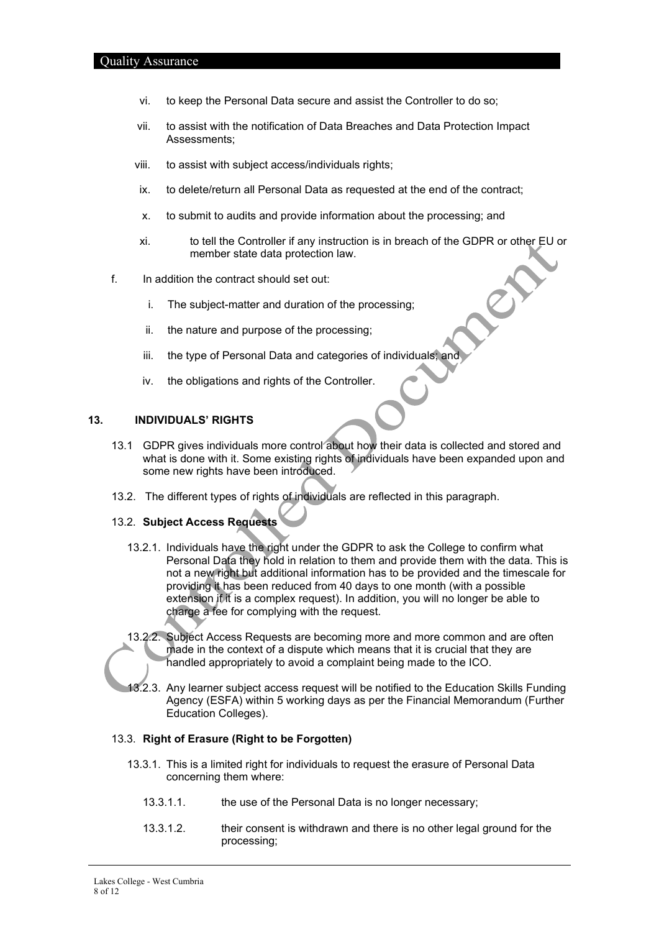- vi. to keep the Personal Data secure and assist the Controller to do so;
- vii. to assist with the notification of Data Breaches and Data Protection Impact Assessments;
- viii. to assist with subject access/individuals rights;
- ix. to delete/return all Personal Data as requested at the end of the contract;
- x. to submit to audits and provide information about the processing; and
- xi. to tell the Controller if any instruction is in breach of the GDPR or other EU or member state data protection law. es
- f. In addition the contract should set out:
	- i. The subject-matter and duration of the processing;
	- ii. the nature and purpose of the processing;
	- iii. the type of Personal Data and categories of individuals; and
	- iv. the obligations and rights of the Controller.

#### <span id="page-7-0"></span>**13. INDIVIDUALS' RIGHTS**

- 13.1 GDPR gives individuals more control about how their data is collected and stored and what is done with it. Some existing rights of individuals have been expanded upon and some new rights have been introduced.
- 13.2. The different types of rights of individuals are reflected in this paragraph.

### 13.2. **Subject Access Requests**

- 13.2.1. Individuals have the right under the GDPR to ask the College to confirm what Personal Data they hold in relation to them and provide them with the data. This is not a new right but additional information has to be provided and the timescale for providing it has been reduced from 40 days to one month (with a possible extension if it is a complex request). In addition, you will no longer be able to charge a fee for complying with the request.
- 13.2.2. Subject Access Requests are becoming more and more common and are often made in the context of a dispute which means that it is crucial that they are handled appropriately to avoid a complaint being made to the ICO.
- 13.2.3. Any learner subject access request will be notified to the Education Skills Funding Agency (ESFA) within 5 working days as per the Financial Memorandum (Further Education Colleges).

#### 13.3. **Right of Erasure (Right to be Forgotten)**

- 13.3.1. This is a limited right for individuals to request the erasure of Personal Data concerning them where:
	- 13.3.1.1. the use of the Personal Data is no longer necessary;
	- 13.3.1.2. their consent is withdrawn and there is no other legal ground for the processing;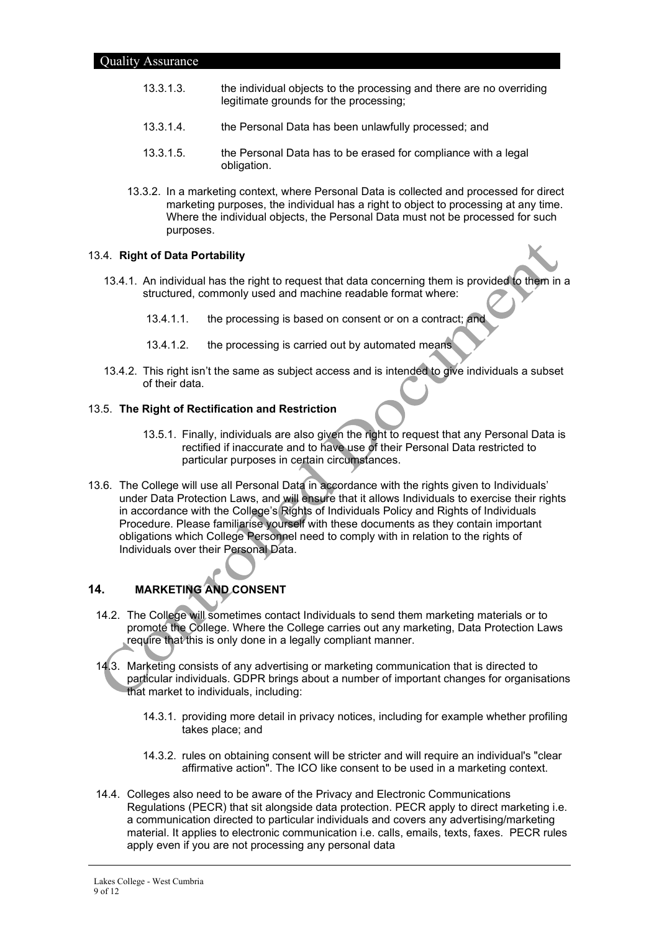- 13.3.1.3. the individual objects to the processing and there are no overriding legitimate grounds for the processing;
- 13.3.1.4. the Personal Data has been unlawfully processed; and
- 13.3.1.5. the Personal Data has to be erased for compliance with a legal obligation.
- 13.3.2. In a marketing context, where Personal Data is collected and processed for direct marketing purposes, the individual has a right to object to processing at any time. Where the individual objects, the Personal Data must not be processed for such purposes.

#### 13.4. **Right of Data Portability**

- 13.4.1. An individual has the right to request that data concerning them is provided to them in a structured, commonly used and machine readable format where:
	- 13.4.1.1. the processing is based on consent or on a contract; and
	- 13.4.1.2. the processing is carried out by automated means
- 13.4.2. This right isn't the same as subject access and is intended to give individuals a subset of their data.

#### 13.5. **The Right of Rectification and Restriction**

- 13.5.1. Finally, individuals are also given the right to request that any Personal Data is rectified if inaccurate and to have use of their Personal Data restricted to particular purposes in certain circumstances.
- 13.6. The College will use all Personal Data in accordance with the rights given to Individuals' under Data Protection Laws, and will ensure that it allows Individuals to exercise their rights in accordance with the College's Rights of Individuals Policy and Rights of Individuals Procedure. Please familiarise yourself with these documents as they contain important obligations which College Personnel need to comply with in relation to the rights of Individuals over their Personal Data.

## <span id="page-8-0"></span>**14. MARKETING AND CONSENT**

- 14.2. The College will sometimes contact Individuals to send them marketing materials or to promote the College. Where the College carries out any marketing, Data Protection Laws require that this is only done in a legally compliant manner.
- 14.3. Marketing consists of any advertising or marketing communication that is directed to particular individuals. GDPR brings about a number of important changes for organisations that market to individuals, including:
	- 14.3.1. providing more detail in privacy notices, including for example whether profiling takes place; and
	- 14.3.2. rules on obtaining consent will be stricter and will require an individual's "clear affirmative action". The ICO like consent to be used in a marketing context.
- 14.4. Colleges also need to be aware of the Privacy and Electronic Communications Regulations (PECR) that sit alongside data protection. PECR apply to direct marketing i.e. a communication directed to particular individuals and covers any advertising/marketing material. It applies to electronic communication i.e. calls, emails, texts, faxes. PECR rules apply even if you are not processing any personal data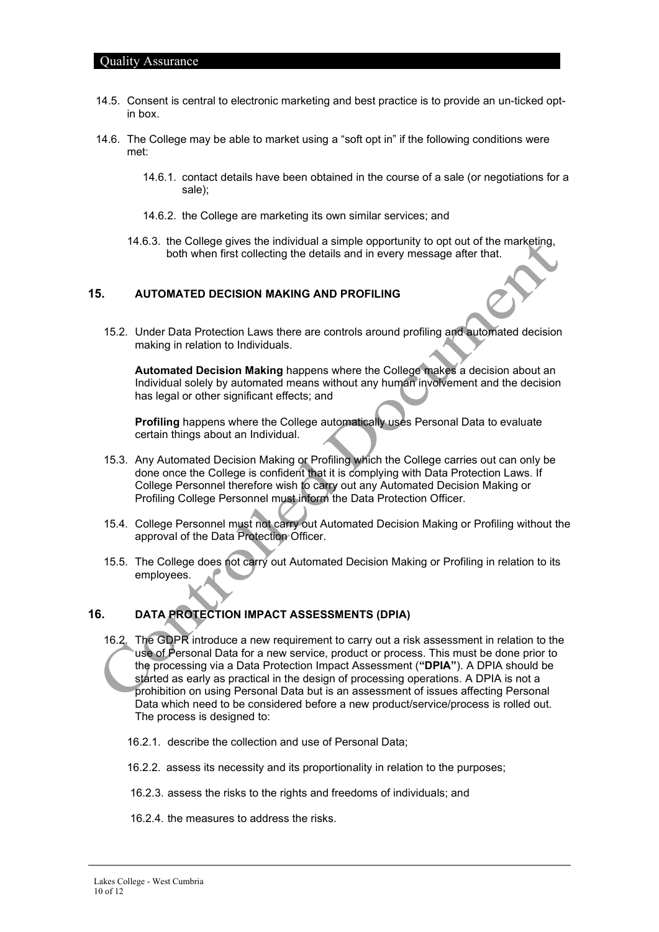- 14.5. Consent is central to electronic marketing and best practice is to provide an un-ticked optin box.
- 14.6. The College may be able to market using a "soft opt in" if the following conditions were met:
	- 14.6.1. contact details have been obtained in the course of a sale (or negotiations for a sale);
	- 14.6.2. the College are marketing its own similar services; and
	- 14.6.3. the College gives the individual a simple opportunity to opt out of the marketing, both when first collecting the details and in every message after that.

#### <span id="page-9-0"></span>**15. AUTOMATED DECISION MAKING AND PROFILING**

15.2. Under Data Protection Laws there are controls around profiling and automated decision making in relation to Individuals.

**Automated Decision Making** happens where the College makes a decision about an Individual solely by automated means without any human involvement and the decision has legal or other significant effects; and

**Profiling** happens where the College automatically uses Personal Data to evaluate certain things about an Individual.

- 15.3. Any Automated Decision Making or Profiling which the College carries out can only be done once the College is confident that it is complying with Data Protection Laws. If College Personnel therefore wish to carry out any Automated Decision Making or Profiling College Personnel must inform the Data Protection Officer.
- 15.4. College Personnel must not carry out Automated Decision Making or Profiling without the approval of the Data Protection Officer.
- 15.5. The College does not carry out Automated Decision Making or Profiling in relation to its employees.

## <span id="page-9-1"></span>**16. DATA PROTECTION IMPACT ASSESSMENTS (DPIA)**

- 16.2. The GDPR introduce a new requirement to carry out a risk assessment in relation to the use of Personal Data for a new service, product or process. This must be done prior to the processing via a Data Protection Impact Assessment (**"DPIA"**). A DPIA should be started as early as practical in the design of processing operations. A DPIA is not a prohibition on using Personal Data but is an assessment of issues affecting Personal Data which need to be considered before a new product/service/process is rolled out. The process is designed to:
	- 16.2.1. describe the collection and use of Personal Data;
	- 16.2.2. assess its necessity and its proportionality in relation to the purposes;
	- 16.2.3. assess the risks to the rights and freedoms of individuals; and
	- 16.2.4. the measures to address the risks.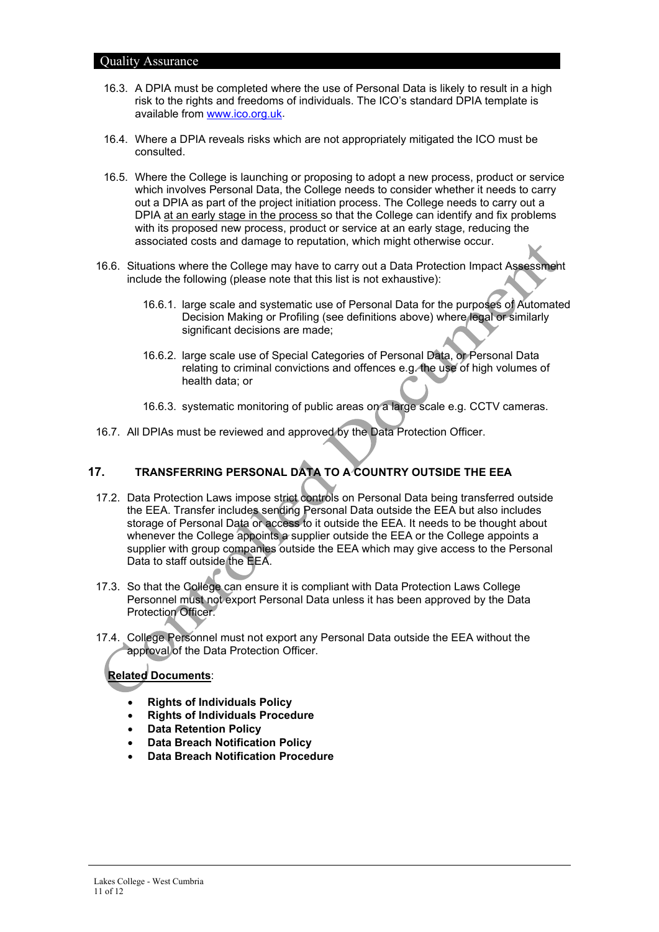- 16.3. A DPIA must be completed where the use of Personal Data is likely to result in a high risk to the rights and freedoms of individuals. The ICO's standard DPIA template is available from [www.ico.org.uk.](http://www.ico.org.uk/)
- 16.4. Where a DPIA reveals risks which are not appropriately mitigated the ICO must be consulted.
- 16.5. Where the College is launching or proposing to adopt a new process, product or service which involves Personal Data, the College needs to consider whether it needs to carry out a DPIA as part of the project initiation process. The College needs to carry out a DPIA at an early stage in the process so that the College can identify and fix problems with its proposed new process, product or service at an early stage, reducing the associated costs and damage to reputation, which might otherwise occur.
- 16.6. Situations where the College may have to carry out a Data Protection Impact Assessment include the following (please note that this list is not exhaustive):
	- 16.6.1. large scale and systematic use of Personal Data for the purposes of Automated Decision Making or Profiling (see definitions above) where legal or similarly significant decisions are made:
	- 16.6.2. large scale use of Special Categories of Personal Data, or Personal Data relating to criminal convictions and offences e.g. the use of high volumes of health data; or
	- 16.6.3. systematic monitoring of public areas on a large scale e.g. CCTV cameras.
- <span id="page-10-0"></span>16.7. All DPIAs must be reviewed and approved by the Data Protection Officer.

## **17. TRANSFERRING PERSONAL DATA TO A COUNTRY OUTSIDE THE EEA**

- 17.2. Data Protection Laws impose strict controls on Personal Data being transferred outside the EEA. Transfer includes sending Personal Data outside the EEA but also includes storage of Personal Data or access to it outside the EEA. It needs to be thought about whenever the College appoints a supplier outside the EEA or the College appoints a supplier with group companies outside the EEA which may give access to the Personal Data to staff outside the EEA.
- 17.3. So that the College can ensure it is compliant with Data Protection Laws College Personnel must not export Personal Data unless it has been approved by the Data Protection Officer.
- 17.4. College Personnel must not export any Personal Data outside the EEA without the approval of the Data Protection Officer.

## **Related Documents**:

- **Rights of Individuals Policy**
- **Rights of Individuals Procedure**
- **Data Retention Policy**
- **Data Breach Notification Policy**
- **Data Breach Notification Procedure**